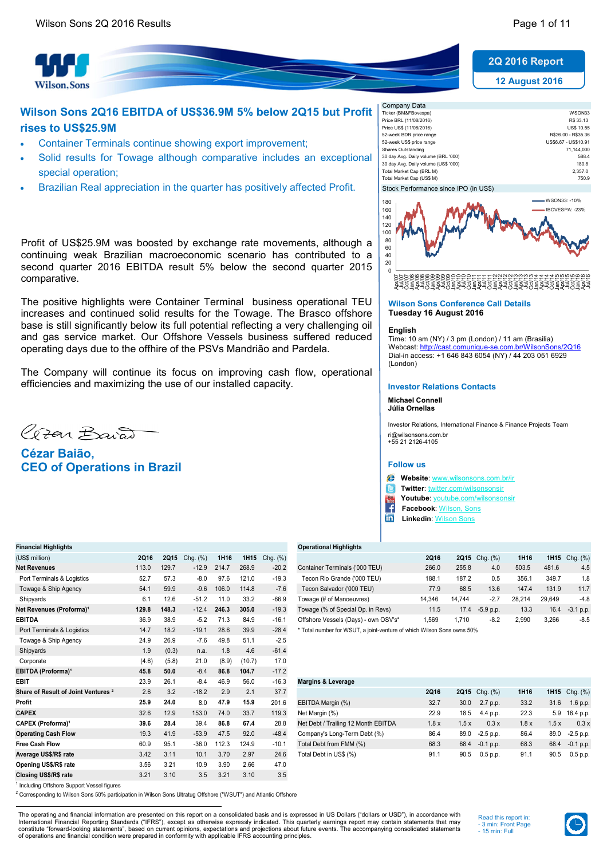12 August 2016 2Q 2016 Report



# Wilson Sons 2Q16 EBITDA of US\$36.9M 5% below 2Q15 but Profit rises to US\$25.9M

- Container Terminals continue showing export improvement;
- Solid results for Towage although comparative includes an exceptional special operation;
- Brazilian Real appreciation in the quarter has positively affected Profit.

Profit of US\$25.9M was boosted by exchange rate movements, although a continuing weak Brazilian macroeconomic scenario has contributed to a second quarter 2016 EBITDA result 5% below the second quarter 2015 comparative.

The positive highlights were Container Terminal business operational TEU increases and continued solid results for the Towage. The Brasco offshore base is still significantly below its full potential reflecting a very challenging oil and gas service market. Our Offshore Vessels business suffered reduced operating days due to the offhire of the PSVs Mandrião and Pardela.

The Company will continue its focus on improving cash flow, operational efficiencies and maximizing the use of our installed capacity.

Cran Baiat

Cézar Baião, CEO of Operations in Brazil

| Company Data                          |                      |
|---------------------------------------|----------------------|
| Ticker (BM&FBovespa)                  | WSON33               |
| Price BRL (11/08/2016)                | R\$ 33.13            |
| Price US\$ (11/08/2016)               | <b>US\$ 10.55</b>    |
| 52-week BDR price range               | R\$26.00 - R\$35.36  |
| 52-week US\$ price range              | US\$6.67 - US\$10.91 |
| Shares Outstanding                    | 71.144.000           |
| 30 day Avg. Daily volume (BRL '000)   | 588.4                |
| 30 day Avg. Daily volume (US\$ '000)  | 180.8                |
| Total Market Cap (BRL M)              | 2.357.0              |
| Total Market Cap (US\$ M)             | 750.9                |
| Stock Performance since IPO (in US\$) |                      |



#### Wilson Sons Conference Call Details Tuesday 16 August 2016

#### English

Time: 10 am (NY) / 3 pm (London) / 11 am (Brasilia) Webcast: http://cast.comunique-se.com.br/WilsonSons/2Q16 Dial-in access: +1 646 843 6054 (NY) / 44 203 051 6929 (London)

#### Investor Relations Contacts

#### Michael Connell Júlia Ornellas

Investor Relations, International Finance & Finance Projects Team ri@wilsonsons.com.br +55 21 2126-4105

#### Follow us

- Website: www.wilsonsons.com.br/ir
- Twitter: twitter.com/wilsonsonsir le
- Youtube: youtube.com/wilsons
- Facebook: Wilson, Sons
- **in** Linkedin: Wilson Sons

### Financial Highlights Operational Highlights

| (US\$ million)                       | 2Q16  | 2015  | $Chq.$ $(\%)$ | 1H <sub>16</sub> | 1H <sub>15</sub> | Chg. (%) |                                      | 2Q16   | 2Q15   | Chg. (%)    | 1H16   |        | <b>1H15</b> $Chq.$ $(\%)$ |
|--------------------------------------|-------|-------|---------------|------------------|------------------|----------|--------------------------------------|--------|--------|-------------|--------|--------|---------------------------|
| Net Revenues                         | 113.0 | 129.7 | $-12.9$       | 214.7            | 268.9            | $-20.2$  | Container Terminals ('000 TEU)       | 266.0  | 255.8  | 4.0         | 503.5  | 481.6  | 4.5                       |
| Port Terminals & Logistics           | 52.7  | 57.3  | $-8.0$        | 97.6             | 121.0            | $-19.3$  | Tecon Rio Grande ('000 TEU)          | 188.1  | 187.2  | 0.5         | 356.   | 349.7  | 1.8                       |
| Towage & Ship Agency                 | 54.1  | 59.9  | $-9.6$        | 106.0            | 114.8            | $-7.6$   | Tecon Salvador ('000 TEU)            | 77.9   | 68.5   | 13.6        | 147.4  | 131.9  | 11.7                      |
| Shipyards                            | 6.1   | 12.6  | $-51.2$       | 11.0             | 33.2             | $-66.9$  | Towage (# of Manoeuvres)             | 14.346 | 14.744 | $-2.7$      | 28.214 | 29.649 | $-4.8$                    |
| Net Revenues (Proforma) <sup>1</sup> | 129.8 | 148.3 | $-12.4$       | 246.3            | 305.0            | $-19.3$  | Towage (% of Special Op. in Revs)    | 11.5   | 17.4   | $-5.9$ p.p. | 13.3   | 16.4   | $-3.1$ p.p.               |
| EBITDA                               | 36.9  | 38.9  | $-5.2$        |                  | 84.9             | $-16.1$  | Offshore Vessels (Days) - own OSV's* | .569   | .710   | $-8.2$      | 2.990  | 3.266  | $-8.5$                    |

| <b>STIPPATUS</b>                               | ∪. ≀  | 14.V  | - JI.Z  | <b></b> | ے. ب   | -vv.o   | <b>I UWAYS IT UI IVIAIIUSUVISSI</b>                                    | ט <del>ד</del> ∪,ידו | $1 + 1 + 1$ |  |
|------------------------------------------------|-------|-------|---------|---------|--------|---------|------------------------------------------------------------------------|----------------------|-------------|--|
| Net Revenues (Proforma) <sup>1</sup>           | 129.8 | 148.3 | $-12.4$ | 246.3   | 305.0  | $-19.3$ | Towage (% of Special Op. in Revs)                                      | 11.5                 | 17.4        |  |
| <b>EBITDA</b>                                  | 36.9  | 38.9  | $-5.2$  | 71.3    | 84.9   | $-16.1$ | Offshore Vessels (Days) - own OSV's*                                   | 1,569                | 1,710       |  |
| Port Terminals & Logistics                     | 14.7  | 18.2  | $-19.1$ | 28.6    | 39.9   | $-28.4$ | * Total number for WSUT, a joint-venture of which Wilson Sons owns 50% |                      |             |  |
| Towage & Ship Agency                           | 24.9  | 26.9  | $-7.6$  | 49.8    | 51.1   | $-2.5$  |                                                                        |                      |             |  |
| Shipyards                                      | 1.9   | (0.3) | n.a.    | 1.8     | 4.6    | $-61.4$ |                                                                        |                      |             |  |
| Corporate                                      | (4.6) | (5.8) | 21.0    | (8.9)   | (10.7) | 17.0    |                                                                        |                      |             |  |
| EBITDA (Proforma) <sup>1</sup>                 | 45.8  | 50.0  | $-8.4$  | 86.8    | 104.7  | $-17.2$ |                                                                        |                      |             |  |
| <b>EBIT</b>                                    | 23.9  | 26.1  | $-8.4$  | 46.9    | 56.0   | $-16.3$ | <b>Margins &amp; Leverage</b>                                          |                      |             |  |
| Share of Result of Joint Ventures <sup>2</sup> | 2.6   | 3.2   | $-18.2$ | 2.9     | 2.1    | 37.7    |                                                                        | 2Q16                 | <b>2Q15</b> |  |
| Profit                                         | 25.9  | 24.0  | 8.0     | 47.9    | 15.9   | 201.6   | EBITDA Margin (%)                                                      | 32.7                 | 30.0        |  |
| <b>CAPEX</b>                                   | 32.6  | 12.9  | 153.0   | 74.0    | 33.7   | 119.3   | Net Margin (%)                                                         | 22.9                 | 18.5        |  |
| CAPEX (Proforma) <sup>1</sup>                  | 39.6  | 28.4  | 39.4    | 86.8    | 67.4   | 28.8    | Net Debt / Trailing 12 Month EBITDA                                    | 1.8x                 | 1.5x        |  |
| <b>Operating Cash Flow</b>                     | 19.3  | 41.9  | $-53.9$ | 47.5    | 92.0   | $-48.4$ | Company's Long-Term Debt (%)                                           | 86.4                 | 89.0        |  |
| <b>Free Cash Flow</b>                          | 60.9  | 95.1  | $-36.0$ | 112.3   | 124.9  | $-10.1$ | Total Debt from FMM (%)                                                | 68.3                 | 68.4        |  |
| Average US\$/R\$ rate                          | 3.42  | 3.11  | 10.1    | 3.70    | 2.97   | 24.6    | Total Debt in US\$ (%)                                                 | 91.1                 | 90.5        |  |
| Opening US\$/R\$ rate                          | 3.56  | 3.21  | 10.9    | 3.90    | 2.66   | 47.0    |                                                                        |                      |             |  |
| Closing US\$/R\$ rate                          | 3.21  | 3.10  | 3.5     | 3.21    | 3.10   | 3.5     |                                                                        |                      |             |  |
|                                                |       |       |         |         |        |         |                                                                        |                      |             |  |

| ЕВП                                            | 23.9 | 26.1 | -8.4    | 46.9  | 56.0  | -16.3   | Margins & Leverage                  |      |                         |      |      |               |
|------------------------------------------------|------|------|---------|-------|-------|---------|-------------------------------------|------|-------------------------|------|------|---------------|
| Share of Result of Joint Ventures <sup>2</sup> | 2.6  | 3.2  | $-18.2$ | 2.9   | 2.1   | 37.7    |                                     | 2Q16 | <b>2Q15</b> Chq. $(\%)$ | 1H16 |      | 1H15 Chg. (%) |
| Profit                                         | 25.9 | 24.0 | 8.0     | 47.9  | 15.9  | 201.6   | EBITDA Margin (%)                   | 32.7 | 30.0<br>2.7 p.p.        | 33.2 | 31.6 | 1.6 p.p.      |
| <b>CAPEX</b>                                   | 32.6 | 12.9 | 153.0   | 74.0  | 33.7  | 119.3   | Net Margin (%)                      | 22.9 | 18.5<br>4.4 p.p.        | 22.3 |      | 5.9 16.4 p.p. |
| CAPEX (Proforma) <sup>1</sup>                  | 39.6 | 28.4 | 39.4    | 86.8  | 67.4  | 28.8    | Net Debt / Trailing 12 Month EBITDA | 1.8x | 1.5x<br>0.3x            | 1.8x | 1.5x | 0.3x          |
| <b>Operating Cash Flow</b>                     | 19.3 | 41.9 | $-53.9$ | 47.5  | 92.0  | $-48.4$ | Company's Long-Term Debt (%)        | 86.4 | 89.0<br>$-2.5$ p.p.     | 86.4 | 89.0 | $-2.5$ p.p.   |
| Free Cash Flow                                 | 60.9 | 95.1 | $-36.0$ | 112.3 | 124.9 | $-10.1$ | Total Debt from FMM (%)             | 68.3 | 68.4<br>$-0.1$ p.p.     | 68.3 | 68.4 | $-0.1 p.p.$   |
| Average US\$/R\$ rate                          | 3.42 | 3.11 | 10.1    | 3.70  | 2.97  | 24.6    | Total Debt in US\$ (%)              | 91.1 | 90.5<br>0.5 p.p.        | 91.1 | 90.5 | 0.5 p.p.      |
|                                                |      |      |         |       |       |         |                                     |      |                         |      |      |               |

<sup>1</sup> Including Offshore Support Vessel figures

<sup>2</sup> Corresponding to Wilson Sons 50% participation in Wilson Sons Ultratug Offshore ("WSUT") and Atlantic Offshore

The operating and financial information are presented on this report on a consolidated basis and is expressed in US Dollars ("dollars or USD"), in accordance with International Financial Reporting Standards ("IFRS"), except as otherwise expressly indicated. This quarterly earnings report may contain statements that may contain statements that may contain statements that may constitute "forward-looking statements", based on current opinions, expectations and projections about future events. The accompanying consolidated statements<br>of operations and financial condition were prepared in conformi

Read this report in: - 3 min: Front Page - 15 min: Full

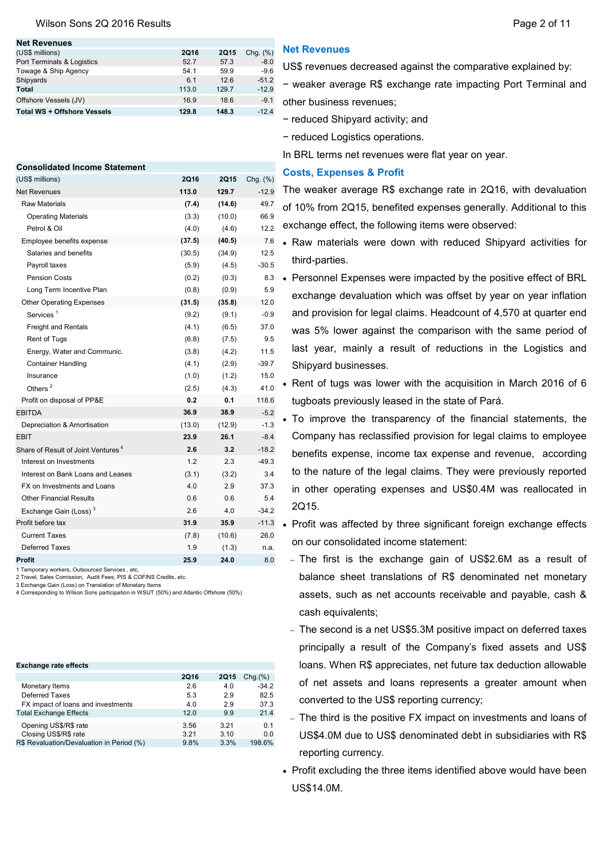#### Wilson Sons 2Q 2016 Results **Page 2 of 11** Nilson Sons 2Q 2016 Results

| <b>Net Revenues</b>                |             |             |             |
|------------------------------------|-------------|-------------|-------------|
| (US\$ millions)                    | <b>2Q16</b> | <b>2Q15</b> | Chg. $(\%)$ |
| Port Terminals & Logistics         | 52.7        | 57.3        | $-8.0$      |
| Towage & Ship Agency               | 54.1        | 59.9        | $-9.6$      |
| Shipyards                          | 6.1         | 12.6        | $-51.2$     |
| <b>Total</b>                       | 113.0       | 129.7       | $-12.9$     |
| Offshore Vessels (JV)              | 16.9        | 18.6        | $-9.1$      |
| <b>Total WS + Offshore Vessels</b> | 129.8       | 148.3       | $-12.4$     |
|                                    |             |             |             |

| <b>Consolidated Income Statement</b>           |             |             |          |
|------------------------------------------------|-------------|-------------|----------|
| (US\$ millions)                                | <b>2Q16</b> | <b>2Q15</b> | Chg. (%) |
| <b>Net Revenues</b>                            | 113.0       | 129.7       | $-12.9$  |
| Raw Materials                                  | (7.4)       | (14.6)      | 49.7     |
| <b>Operating Materials</b>                     | (3.3)       | (10.0)      | 66.9     |
| Petrol & Oil                                   | (4.0)       | (4.6)       | 12.2     |
| Employee benefits expense                      | (37.5)      | (40.5)      | 7.6      |
| Salaries and benefits                          | (30.5)      | (34.9)      | 12.5     |
| Payroll taxes                                  | (5.9)       | (4.5)       | $-30.5$  |
| <b>Pension Costs</b>                           | (0.2)       | (0.3)       | 8.3      |
| Long Term Incentive Plan                       | (0.8)       | (0.9)       | 5.9      |
| <b>Other Operating Expenses</b>                | (31.5)      | (35.8)      | 12.0     |
| Services <sup>1</sup>                          | (9.2)       | (9.1)       | $-0.9$   |
| <b>Freight and Rentals</b>                     | (4.1)       | (6.5)       | 37.0     |
| Rent of Tugs                                   | (6.8)       | (7.5)       | 9.5      |
| Energy, Water and Communic.                    | (3.8)       | (4.2)       | 11.5     |
| <b>Container Handling</b>                      | (4.1)       | (2.9)       | $-39.7$  |
| Insurance                                      | (1.0)       | (1.2)       | 15.0     |
| Others <sup>2</sup>                            | (2.5)       | (4.3)       | 41.0     |
| Profit on disposal of PP&E                     | 0.2         | 0.1         | 118.6    |
| <b>EBITDA</b>                                  | 36.9        | 38.9        | $-5.2$   |
| Depreciation & Amortisation                    | (13.0)      | (12.9)      | $-1.3$   |
| <b>EBIT</b>                                    | 23.9        | 26.1        | $-8.4$   |
| Share of Result of Joint Ventures <sup>4</sup> | 2.6         | 3.2         | $-18.2$  |
| Interest on Investments                        | 1.2         | 2.3         | $-49.3$  |
| Interest on Bank Loans and Leases              | (3.1)       | (3.2)       | 3.4      |
| FX on Investments and Loans                    | 4.0         | 2.9         | 37.3     |
| <b>Other Financial Results</b>                 | 0.6         | 0.6         | 5.4      |
| Exchange Gain (Loss) <sup>3</sup>              | 2.6         | 4.0         | $-34.2$  |
| Profit before tax                              | 31.9        | 35.9        | $-11.3$  |
| <b>Current Taxes</b>                           | (7.8)       | (10.6)      | 26.0     |
| <b>Deferred Taxes</b>                          | 1.9         | (1.3)       | n.a.     |
| Profit                                         | 25.9        | 24.0        | 8.0      |

1 Temporary workers, Outsourced Services , etc.

2 Travel, Sales Comission, Audit Fees, PIS & COFINS Credits, etc. 3 Exchange Gain (Loss) on Translation of Monetary Items

4 Corresponding to Wilson Sons participation in WSUT (50%) and Atlantic Offshore (50%)

| <b>Exchange rate effects</b>              |             |             |         |
|-------------------------------------------|-------------|-------------|---------|
|                                           | <b>2Q16</b> | <b>2Q15</b> | Chq.(%) |
| Monetary Items                            | 2.6         | 4.0         | $-34.2$ |
| Deferred Taxes                            | 5.3         | 2.9         | 82.5    |
| FX impact of loans and investments        | 4.0         | 2.9         | 37.3    |
| <b>Total Exchange Effects</b>             | 12.0        | 9.9         | 21.4    |
| Opening US\$/R\$ rate                     | 3.56        | 3.21        | 0.1     |
| Closing US\$/R\$ rate                     | 3.21        | 3.10        | 0.0     |
| R\$ Revaluation/Devaluation in Period (%) | 9.8%        | 3.3%        | 198.6%  |

# Net Revenues

US\$ revenues decreased against the comparative explained by:

− weaker average R\$ exchange rate impacting Port Terminal and other business revenues;

- − reduced Shipyard activity; and
- − reduced Logistics operations.

In BRL terms net revenues were flat year on year.

### Costs, Expenses & Profit

The weaker average R\$ exchange rate in 2Q16, with devaluation of 10% from 2Q15, benefited expenses generally. Additional to this exchange effect, the following items were observed:

- Raw materials were down with reduced Shipyard activities for third-parties.
- Personnel Expenses were impacted by the positive effect of BRL exchange devaluation which was offset by year on year inflation and provision for legal claims. Headcount of 4,570 at quarter end was 5% lower against the comparison with the same period of last year, mainly a result of reductions in the Logistics and Shipyard businesses.

• Rent of tugs was lower with the acquisition in March 2016 of 6 tugboats previously leased in the state of Pará.

- To improve the transparency of the financial statements, the Company has reclassified provision for legal claims to employee benefits expense, income tax expense and revenue, according to the nature of the legal claims. They were previously reported in other operating expenses and US\$0.4M was reallocated in 2Q15.
- Profit was affected by three significant foreign exchange effects on our consolidated income statement:
	- The first is the exchange gain of US\$2.6M as a result of balance sheet translations of R\$ denominated net monetary assets, such as net accounts receivable and payable, cash & cash equivalents;
	- The second is a net US\$5.3M positive impact on deferred taxes principally a result of the Company's fixed assets and US\$ loans. When R\$ appreciates, net future tax deduction allowable of net assets and loans represents a greater amount when converted to the US\$ reporting currency;
	- − The third is the positive FX impact on investments and loans of US\$4.0M due to US\$ denominated debt in subsidiaries with R\$ reporting currency.
- Profit excluding the three items identified above would have been US\$14.0M.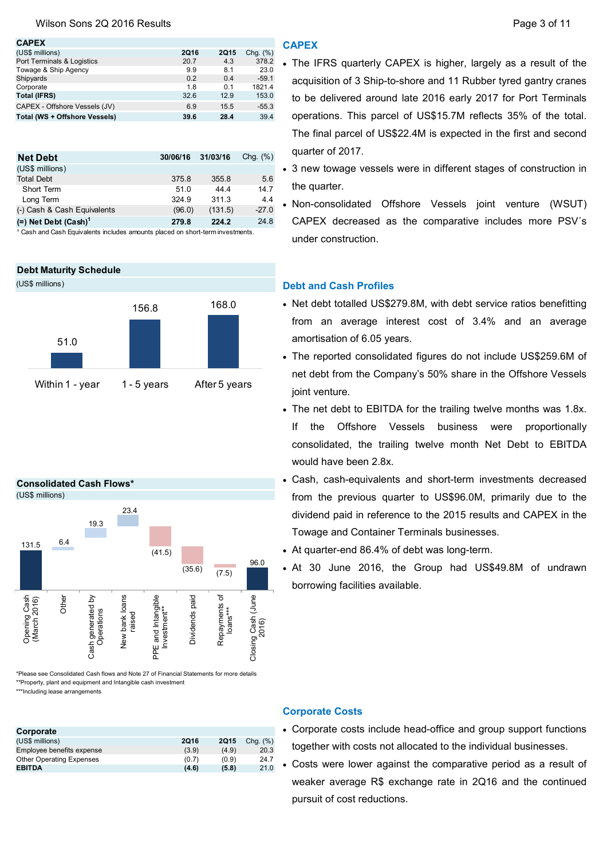### Wilson Sons 2Q 2016 Results **Page 3 of 11** Nilson Sons 2Q 2016 Results

| <b>CAPEX</b>                  |             |             |             |
|-------------------------------|-------------|-------------|-------------|
| (US\$ millions)               | <b>2Q16</b> | <b>2Q15</b> | Chg. $(\%)$ |
| Port Terminals & Logistics    | 20.7        | 4.3         | 378.2       |
| Towage & Ship Agency          | 9.9         | 8.1         | 23.0        |
| Shipyards                     | 0.2         | 0.4         | $-59.1$     |
| Corporate                     | 1.8         | 0.1         | 1821.4      |
| <b>Total (IFRS)</b>           | 32.6        | 12.9        | 153.0       |
| CAPEX - Offshore Vessels (JV) | 6.9         | 15.5        | $-55.3$     |
| Total (WS + Offshore Vessels) | 39.6        | 28.4        | 39.4        |

| <b>Net Debt</b>                    | 30/06/16 | 31/03/16 | Chg. $(\%)$ |
|------------------------------------|----------|----------|-------------|
| (US\$ millions)                    |          |          |             |
| <b>Total Debt</b>                  | 375.8    | 355.8    | 5.6         |
| Short Term                         | 51.0     | 4444     | 14.7        |
| Long Term                          | 324.9    | 311.3    | 4.4         |
| (-) Cash & Cash Equivalents        | (96.0)   | (131.5)  | $-27.0$     |
|                                    | 279.8    | 224.2    | 24.8        |
| $(=)$ Net Debt (Cash) <sup>1</sup> |          |          |             |

<sup>1</sup> Cash and Cash Equivalents includes amounts placed on short-term investments.

# Debt Maturity Schedule







\*Please see Consolidated Cash flows and Note 27 of Financial Statements for more details \*\*Property, plant and equipment and Intangible cash investment

\*\*\*Including lease arrangements

| Corporate                       |             |             |             |
|---------------------------------|-------------|-------------|-------------|
| (US\$ millions)                 | <b>2Q16</b> | <b>2Q15</b> | Chq. $(\%)$ |
| Employee benefits expense       | (3.9)       | (4.9)       | 20.3        |
| <b>Other Operating Expenses</b> | (0.7)       | (0.9)       | 24.7        |
| <b>EBITDA</b>                   | (4.6)       | (5.8)       | 21.0        |
|                                 |             |             |             |

### **CAPEX**

- The IFRS quarterly CAPEX is higher, largely as a result of the acquisition of 3 Ship-to-shore and 11 Rubber tyred gantry cranes to be delivered around late 2016 early 2017 for Port Terminals operations. This parcel of US\$15.7M reflects 35% of the total. The final parcel of US\$22.4M is expected in the first and second quarter of 2017.
- 3 new towage vessels were in different stages of construction in the quarter.
- Non-consolidated Offshore Vessels joint venture (WSUT) CAPEX decreased as the comparative includes more PSV´s under construction.

## Debt and Cash Profiles

- Net debt totalled US\$279.8M, with debt service ratios benefitting from an average interest cost of 3.4% and an average amortisation of 6.05 years.
- The reported consolidated figures do not include US\$259.6M of net debt from the Company's 50% share in the Offshore Vessels joint venture.
- The net debt to EBITDA for the trailing twelve months was 1.8x. If the Offshore Vessels business were proportionally consolidated, the trailing twelve month Net Debt to EBITDA would have been 2.8x.
- Cash, cash-equivalents and short-term investments decreased from the previous quarter to US\$96.0M, primarily due to the dividend paid in reference to the 2015 results and CAPEX in the Towage and Container Terminals businesses.
- At quarter-end 86.4% of debt was long-term.
- At 30 June 2016, the Group had US\$49.8M of undrawn borrowing facilities available.

### Corporate Costs

- Corporate costs include head-office and group support functions together with costs not allocated to the individual businesses.
- Costs were lower against the comparative period as a result of weaker average R\$ exchange rate in 2Q16 and the continued pursuit of cost reductions.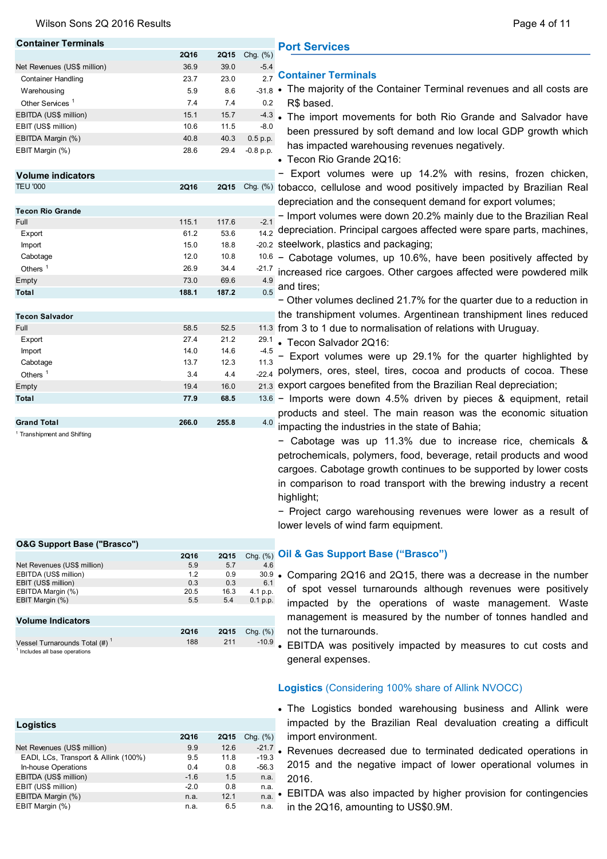#### Wilson Sons 2Q 2016 Results

|  | Page 4 of 11 |  |  |  |  |
|--|--------------|--|--|--|--|
|--|--------------|--|--|--|--|

| <b>Container Terminals</b>                   |             |             |              | <b>Port Services</b>                                                            |
|----------------------------------------------|-------------|-------------|--------------|---------------------------------------------------------------------------------|
|                                              | <b>2Q16</b> | <b>2Q15</b> | Chg. (%)     |                                                                                 |
| Net Revenues (US\$ million)                  | 36.9        | 39.0        | $-5.4$       |                                                                                 |
| <b>Container Handling</b>                    | 23.7        | 23.0        |              | 2.7 Container Terminals                                                         |
| Warehousing                                  | 5.9         | 8.6         |              | -31.8 • The majority of the Container Terminal revenues and all costs are       |
| Other Services <sup>1</sup>                  | 7.4         | 7.4         | 0.2          | R\$ based.                                                                      |
| EBITDA (US\$ million)                        | 15.1        | 15.7        |              | 4.3 • The import movements for both Rio Grande and Salvador have                |
| EBIT (US\$ million)                          | 10.6        | 11.5        | $-8.0$       | been pressured by soft demand and low local GDP growth which                    |
| EBITDA Margin (%)                            | 40.8        | 40.3        | 0.5 p.p.     | has impacted warehousing revenues negatively.                                   |
| EBIT Margin (%)                              | 28.6        | 29.4        | $-0.8$ p.p.  | • Tecon Rio Grande 2Q16:                                                        |
| <b>Volume indicators</b>                     |             |             |              | - Export volumes were up 14.2% with resins, frozen chicken,                     |
| <b>TEU '000</b>                              | <b>2Q16</b> |             |              | 2015 Chg. (%) tobacco, cellulose and wood positively impacted by Brazilian Real |
|                                              |             |             |              | depreciation and the consequent demand for export volumes;                      |
| <b>Tecon Rio Grande</b>                      |             |             |              | - Import volumes were down 20.2% mainly due to the Brazilian Real               |
| Full                                         | 115.1       | 117.6       | $-2.1$       | depreciation. Principal cargoes affected were spare parts, machines,            |
| Export                                       | 61.2        | 53.6        | 14.2         |                                                                                 |
| Import                                       | 15.0        | 18.8        |              | -20.2 steelwork, plastics and packaging;                                        |
| Cabotage                                     | 12.0        | 10.8        |              | $10.6$ – Cabotage volumes, up 10.6%, have been positively affected by           |
| Others $1$                                   | 26.9        | 34.4        | -21.7<br>4.9 | increased rice cargoes. Other cargoes affected were powdered milk               |
| Empty                                        | 73.0        | 69.6        | 0.5          | and tires;                                                                      |
| Total                                        | 188.1       | 187.2       |              | - Other volumes declined 21.7% for the quarter due to a reduction in            |
|                                              |             |             |              | the transhipment volumes. Argentinean transhipment lines reduced                |
| <b>Tecon Salvador</b>                        | 58.5        | 52.5        |              |                                                                                 |
| Full<br>Export                               | 27.4        | 21.2        | 29.1         | 11.3 from 3 to 1 due to normalisation of relations with Uruguay.                |
| Import                                       | 14.0        | 14.6        | -4.5         | • Tecon Salvador 2Q16:                                                          |
| Cabotage                                     | 13.7        | 12.3        | 11.3         | Export volumes were up 29.1% for the quarter highlighted by                     |
| Others $1$                                   | 3.4         | 4.4         |              | -22.4 polymers, ores, steel, tires, cocoa and products of cocoa. These          |
| Empty                                        | 19.4        | 16.0        |              | 21.3 export cargoes benefited from the Brazilian Real depreciation;             |
| Total                                        | 77.9        | 68.5        |              | 13.6 - Imports were down 4.5% driven by pieces & equipment, retail              |
|                                              |             |             |              | products and steel. The main reason was the economic situation                  |
| <b>Grand Total</b>                           | 266.0       | 255.8       | 4.0          |                                                                                 |
| <sup>1</sup> Transhipment and Shifting       |             |             |              | impacting the industries in the state of Bahia;                                 |
|                                              |             |             |              | - Cabotage was up 11.3% due to increase rice, chemicals &                       |
|                                              |             |             |              | petrochemicals, polymers, food, beverage, retail products and wood              |
|                                              |             |             |              | cargoes. Cabotage growth continues to be supported by lower costs               |
|                                              |             |             |              | in comparison to road transport with the brewing industry a recent              |
|                                              |             |             |              | highlight;                                                                      |
|                                              |             |             |              |                                                                                 |
|                                              |             |             |              | - Project cargo warehousing revenues were lower as a result of                  |
|                                              |             |             |              | lower levels of wind farm equipment.                                            |
| <b>O&amp;G Support Base ("Brasco")</b>       |             |             |              |                                                                                 |
|                                              | <b>2Q16</b> | <b>2Q15</b> | Chg. (%)     | Oil & Gas Support Base ("Brasco")                                               |
| Net Revenues (US\$ million)                  | 5.9         | 5.7         | 4.6          |                                                                                 |
| EBITDA (US\$ million)<br>EBIT (US\$ million) | 1.2<br>0.3  | 0.9<br>0.3  | 30.9<br>6.1  | • Comparing 2Q16 and 2Q15, there was a decrease in the number                   |
| EBITDA Margin (%)                            | 20.5        | 16.3        | 4.1 p.p.     | of spot vessel turnarounds although revenues were positively                    |
| EBIT Margin (%)                              | 5.5         | 5.4         | 0.1 p.p.     | impacted by the operations of waste management. Waste                           |
|                                              |             |             |              | management is measured by the number of tonnes handled and                      |
| <b>Volume Indicators</b>                     | <b>2Q16</b> | <b>2Q15</b> | Chg. (%)     | not the turnarounds.                                                            |
| Vessel Turnarounds Total (#) <sup>1</sup>    | 188         | 211         |              |                                                                                 |
| <sup>1</sup> Includes all base operations    |             |             |              | -10.9 • EBITDA was positively impacted by measures to cut costs and             |
|                                              |             |             |              | general expenses.                                                               |

# Logistics (Considering 100% share of Allink NVOCC)

- The Logistics bonded warehousing business and Allink were impacted by the Brazilian Real devaluation creating a difficult import environment.
- Revenues decreased due to terminated dedicated operations in 2015 and the negative impact of lower operational volumes in 2016.
- EBITDA was also impacted by higher provision for contingencies in the 2Q16, amounting to US\$0.9M.

| Logistics                            |             |             |             |
|--------------------------------------|-------------|-------------|-------------|
|                                      | <b>2Q16</b> | <b>2Q15</b> | Chg. $(\%)$ |
| Net Revenues (US\$ million)          | 9.9         | 12.6        | $-21.7$     |
| EADI, LCs, Transport & Allink (100%) | 9.5         | 11.8        | $-19.3$     |
| In-house Operations                  | 0.4         | 0.8         | $-56.3$     |
| EBITDA (US\$ million)                | $-1.6$      | 1.5         | n.a.        |
| EBIT (US\$ million)                  | $-2.0$      | 0.8         | n.a.        |
| EBITDA Margin (%)                    | n.a.        | 12.1        | n.a.        |
| EBIT Margin (%)                      | n.a.        | 6.5         | n.a.        |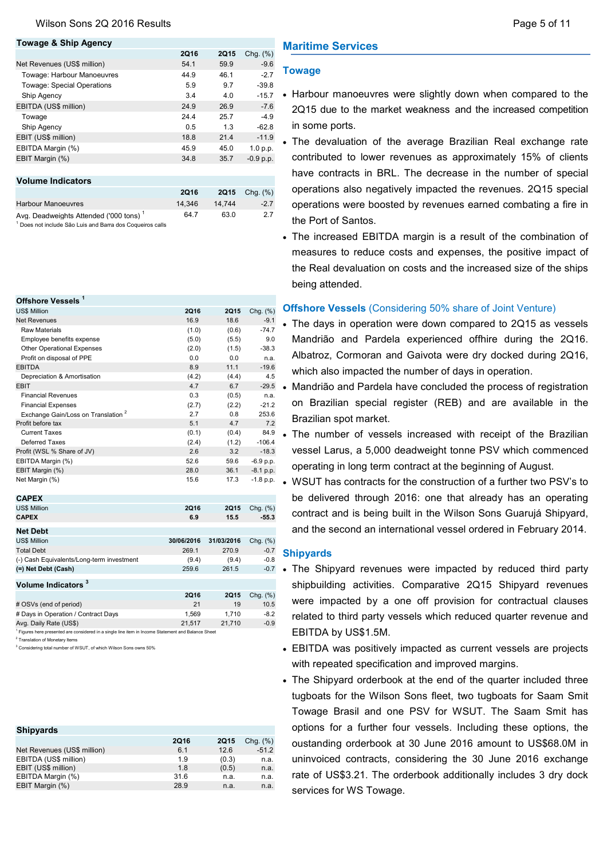### Towage & Ship Agency

|                                                    | <b>2Q16</b> | <b>2Q15</b> | Chq. $(\%)$ |
|----------------------------------------------------|-------------|-------------|-------------|
| Net Revenues (US\$ million)                        | 54.1        | 59.9        | $-9.6$      |
| Towage: Harbour Manoeuvres                         | 44.9        | 46.1        | $-2.7$      |
| Towage: Special Operations                         | 5.9         | 9.7         | $-39.8$     |
| Ship Agency                                        | 3.4         | 4.0         | $-15.7$     |
| EBITDA (US\$ million)                              | 24.9        | 26.9        | $-7.6$      |
| Towage                                             | 24.4        | 25.7        | $-4.9$      |
| Ship Agency                                        | 0.5         | 1.3         | $-62.8$     |
| EBIT (US\$ million)                                | 18.8        | 21.4        | $-11.9$     |
| EBITDA Margin (%)                                  | 45.9        | 45.0        | 1.0 p.p.    |
| EBIT Margin (%)                                    | 34.8        | 35.7        | $-0.9 p.p.$ |
|                                                    |             |             |             |
| <b>Volume Indicators</b>                           |             |             |             |
|                                                    | <b>2Q16</b> | <b>2Q15</b> | Chg. $(\%)$ |
| <b>Harbour Manoeuvres</b>                          | 14,346      | 14,744      | $-2.7$      |
| Avg. Deadweights Attended ('000 tons) <sup>1</sup> | 64.7        | 63.0        | 2.7         |

1 Does not include São Luis and Barra dos Coqueiros calls

| Offshore Vessels <sup>1</sup>                  |            |            |             |
|------------------------------------------------|------------|------------|-------------|
| <b>US\$ Million</b>                            | 2Q16       | 2Q15       | Chg. (%)    |
| <b>Net Revenues</b>                            | 16.9       | 18.6       | $-9.1$      |
| Raw Materials                                  | (1.0)      | (0.6)      | $-74.7$     |
| Employee benefits expense                      | (5.0)      | (5.5)      | 9.0         |
| Other Operational Expenses                     | (2.0)      | (1.5)      | $-38.3$     |
| Profit on disposal of PPE                      | 0.0        | 0.0        | n.a.        |
| <b>EBITDA</b>                                  | 8.9        | 11.1       | $-19.6$     |
| Depreciation & Amortisation                    | (4.2)      | (4.4)      | 4.5         |
| <b>EBIT</b>                                    | 4.7        | 6.7        | $-29.5$     |
| <b>Financial Revenues</b>                      | 0.3        | (0.5)      | n.a.        |
| <b>Financial Expenses</b>                      | (2.7)      | (2.2)      | $-21.2$     |
| Exchange Gain/Loss on Translation <sup>2</sup> | 2.7        | 0.8        | 253.6       |
| Profit before tax                              | 5.1        | 4.7        | 7.2         |
| <b>Current Taxes</b>                           | (0.1)      | (0.4)      | 84.9        |
| Deferred Taxes                                 | (2.4)      | (1.2)      | $-106.4$    |
| Profit (WSL % Share of JV)                     | 2.6        | 3.2        | $-18.3$     |
| EBITDA Margin (%)                              | 52.6       | 59.6       | $-6.9$ p.p. |
| EBIT Margin (%)                                | 28.0       | 36.1       | $-8.1$ p.p. |
| Net Margin (%)                                 | 15.6       | 17.3       | $-1.8$ p.p. |
| <b>CAPEX</b>                                   |            |            |             |
| <b>US\$ Million</b>                            | 2Q16       | 2015       | Chg. (%)    |
| <b>CAPEX</b>                                   | 6.9        | 15.5       | $-55.3$     |
| <b>Net Debt</b>                                |            |            |             |
| <b>US\$ Million</b>                            | 30/06/2016 | 31/03/2016 | Chg. (%)    |
| <b>Total Debt</b>                              | 269.1      | 270.9      | $-0.7$      |
| (-) Cash Equivalents/Long-term investment      | (9.4)      | (9.4)      | $-0.8$      |
| (=) Net Debt (Cash)                            | 259.6      | 261.5      | $-0.7$      |
| Volume Indicators <sup>3</sup>                 |            |            |             |
|                                                | 2Q16       | 2015       | Chg. (%)    |
| # OSVs (end of period)                         | 21         | 19         | 10.5        |
| # Days in Operation / Contract Days            | 1,569      | 1,710      | $-8.2$      |

Avg. Daily Rate (US\$) 21,517 21,710 -0.9 <sup>1</sup> Figures here presented are considered in a single line item in Income Statement and Balance Sheet

<sup>2</sup> Translation of Monetary Items

3 Considering total number of WSUT, of which Wilson Sons owns 50%

| <b>Shipyards</b>            |             |             |               |
|-----------------------------|-------------|-------------|---------------|
|                             | <b>2Q16</b> | <b>2Q15</b> | $Chq.$ $(\%)$ |
| Net Revenues (US\$ million) | 6.1         | 12.6        | $-51.2$       |
| EBITDA (US\$ million)       | 1.9         | (0.3)       | n.a.          |
| EBIT (US\$ million)         | 1.8         | (0.5)       | n.a.          |
| EBITDA Margin (%)           | 31.6        | n.a.        | n.a.          |
| EBIT Margin (%)             | 28.9        | n.a.        | n.a.          |

## Maritime Services

### Towage

- Harbour manoeuvres were slightly down when compared to the 2Q15 due to the market weakness and the increased competition in some ports.
- The devaluation of the average Brazilian Real exchange rate contributed to lower revenues as approximately 15% of clients have contracts in BRL. The decrease in the number of special operations also negatively impacted the revenues. 2Q15 special operations were boosted by revenues earned combating a fire in the Port of Santos.
- The increased EBITDA margin is a result of the combination of measures to reduce costs and expenses, the positive impact of the Real devaluation on costs and the increased size of the ships being attended.

### Offshore Vessels (Considering 50% share of Joint Venture)

- The days in operation were down compared to 2Q15 as vessels Mandrião and Pardela experienced offhire during the 2Q16. Albatroz, Cormoran and Gaivota were dry docked during 2Q16, which also impacted the number of days in operation.
- Mandrião and Pardela have concluded the process of registration on Brazilian special register (REB) and are available in the Brazilian spot market.
- The number of vessels increased with receipt of the Brazilian vessel Larus, a 5,000 deadweight tonne PSV which commenced operating in long term contract at the beginning of August.
- WSUT has contracts for the construction of a further two PSV's to be delivered through 2016: one that already has an operating contract and is being built in the Wilson Sons Guarujá Shipyard, and the second an international vessel ordered in February 2014.

### **Shipvards**

- The Shipyard revenues were impacted by reduced third party shipbuilding activities. Comparative 2Q15 Shipyard revenues were impacted by a one off provision for contractual clauses related to third party vessels which reduced quarter revenue and EBITDA by US\$1.5M.
- EBITDA was positively impacted as current vessels are projects with repeated specification and improved margins.
- The Shipyard orderbook at the end of the quarter included three tugboats for the Wilson Sons fleet, two tugboats for Saam Smit Towage Brasil and one PSV for WSUT. The Saam Smit has options for a further four vessels. Including these options, the oustanding orderbook at 30 June 2016 amount to US\$68.0M in uninvoiced contracts, considering the 30 June 2016 exchange rate of US\$3.21. The orderbook additionally includes 3 dry dock services for WS Towage.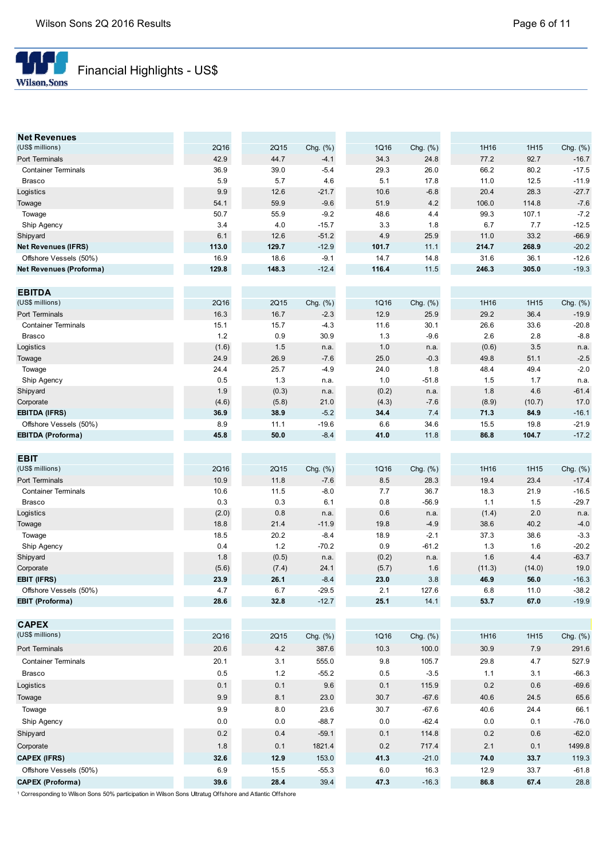

# Financial Highlights - US\$

| <b>Net Revenues</b>            |               |       |                 |       |                |               |        |                |
|--------------------------------|---------------|-------|-----------------|-------|----------------|---------------|--------|----------------|
| (US\$ millions)                | 2Q16          | 2Q15  | Chg. $(\%)$     | 1Q16  | Chg. (%)       | 1H16          | 1H15   | Chg. (%)       |
| Port Terminals                 | 42.9          | 44.7  | $-4.1$          | 34.3  | 24.8           | 77.2          | 92.7   | $-16.7$        |
| <b>Container Terminals</b>     | 36.9          | 39.0  | $-5.4$          | 29.3  | 26.0           | 66.2          | 80.2   | $-17.5$        |
| <b>Brasco</b>                  | 5.9           | 5.7   | 4.6             | 5.1   | 17.8           | 11.0          | 12.5   | $-11.9$        |
| Logistics                      | 9.9           | 12.6  | $-21.7$         | 10.6  | $-6.8$         | 20.4          | 28.3   | $-27.7$        |
| Towage                         | 54.1          | 59.9  | $-9.6$          | 51.9  | 4.2            | 106.0         | 114.8  | $-7.6$         |
| Towage                         | 50.7          | 55.9  | $-9.2$          | 48.6  | 4.4            | 99.3          | 107.1  | $-7.2$         |
| Ship Agency                    | 3.4           | 4.0   | $-15.7$         | 3.3   | 1.8            | 6.7           | 7.7    | $-12.5$        |
| Shipyard                       | 6.1           | 12.6  | $-51.2$         | 4.9   | 25.9           | 11.0          | 33.2   | $-66.9$        |
| <b>Net Revenues (IFRS)</b>     | 113.0         | 129.7 | $-12.9$         | 101.7 | 11.1           | 214.7         | 268.9  | $-20.2$        |
| Offshore Vessels (50%)         | 16.9          | 18.6  | $-9.1$          | 14.7  | 14.8           | 31.6          | 36.1   | $-12.6$        |
| <b>Net Revenues (Proforma)</b> | 129.8         | 148.3 | $-12.4$         | 116.4 | 11.5           | 246.3         | 305.0  | $-19.3$        |
|                                |               |       |                 |       |                |               |        |                |
| <b>EBITDA</b>                  |               |       |                 |       |                |               |        |                |
| (US\$ millions)                | 2Q16          | 2Q15  | Chg. (%)        | 1Q16  | Chg. (%)       | 1H16          | 1H15   | Chg. (%)       |
| Port Terminals                 | 16.3          | 16.7  | $-2.3$          | 12.9  | 25.9           | 29.2          | 36.4   | $-19.9$        |
| <b>Container Terminals</b>     | 15.1          | 15.7  | $-4.3$          | 11.6  | 30.1           | 26.6          | 33.6   | $-20.8$        |
| <b>Brasco</b>                  | 1.2           | 0.9   | 30.9            | 1.3   | $-9.6$         | 2.6           | 2.8    | $-8.8$         |
| Logistics                      | (1.6)         | 1.5   | n.a.            | 1.0   | n.a.           | (0.6)         | 3.5    | n.a.           |
| Towage                         | 24.9          | 26.9  | $-7.6$          | 25.0  | $-0.3$         | 49.8          | 51.1   | $-2.5$         |
| Towage                         | 24.4          | 25.7  | $-4.9$          | 24.0  | 1.8            | 48.4          | 49.4   | $-2.0$         |
| Ship Agency                    | 0.5           | 1.3   | n.a.            | 1.0   | $-51.8$        | 1.5           | 1.7    | n.a.           |
| Shipyard                       | 1.9           | (0.3) | n.a.            | (0.2) | n.a.           | 1.8           | 4.6    | $-61.4$        |
| Corporate                      | (4.6)         | (5.8) | 21.0            | (4.3) | $-7.6$         | (8.9)         | (10.7) | 17.0           |
| <b>EBITDA (IFRS)</b>           | 36.9          | 38.9  | $-5.2$          | 34.4  | 7.4            | 71.3          | 84.9   | $-16.1$        |
| Offshore Vessels (50%)         | 8.9           | 11.1  | $-19.6$         | 6.6   | 34.6           | 15.5          | 19.8   | $-21.9$        |
| <b>EBITDA (Proforma)</b>       | 45.8          | 50.0  | $-8.4$          | 41.0  | 11.8           | 86.8          | 104.7  | $-17.2$        |
| <b>EBIT</b>                    |               |       |                 |       |                |               |        |                |
| (US\$ millions)                | 2Q16          | 2Q15  | Chg. (%)        | 1Q16  | Chg. (%)       | 1H16          | 1H15   | Chg. (%)       |
| Port Terminals                 | 10.9          | 11.8  | $-7.6$          | 8.5   | 28.3           | 19.4          | 23.4   | $-17.4$        |
| <b>Container Terminals</b>     | 10.6          | 11.5  | $-8.0$          | 7.7   | 36.7           | 18.3          | 21.9   | $-16.5$        |
| <b>Brasco</b>                  | 0.3           | 0.3   | 6.1             | 0.8   | $-56.9$        | 1.1           | 1.5    | $-29.7$        |
| Logistics                      |               | 0.8   |                 | 0.6   |                |               | 2.0    |                |
|                                | (2.0)<br>18.8 | 21.4  | n.a.<br>$-11.9$ | 19.8  | n.a.<br>$-4.9$ | (1.4)<br>38.6 | 40.2   | n.a.<br>$-4.0$ |
| Towage                         |               |       |                 |       |                |               |        | $-3.3$         |
| Towage                         | 18.5          | 20.2  | $-8.4$          | 18.9  | $-2.1$         | 37.3          | 38.6   |                |
| Ship Agency                    | 0.4           | 1.2   | $-70.2$         | 0.9   | $-61.2$        | 1.3           | 1.6    | $-20.2$        |
| Shipyard                       | 1.8           | (0.5) | n.a.            | (0.2) | n.a.           | 1.6           | 4.4    | $-63.7$        |
| Corporate                      | (5.6)         | (7.4) | 24.1            | (5.7) | 1.6            | (11.3)        | (14.0) | 19.0           |
| <b>EBIT (IFRS)</b>             | 23.9          | 26.1  | $-8.4$          | 23.0  | 3.8            | 46.9          | 56.0   | $-16.3$        |
| Offshore Vessels (50%)         | 4.7           | 6.7   | $-29.5$         | 2.1   | 127.6          | 6.8           | 11.0   | $-38.2$        |
| EBIT (Proforma)                | 28.6          | 32.8  | $-12.7$         | 25.1  | 14.1           | 53.7          | 67.0   | $-19.9$        |
| <b>CAPEX</b>                   |               |       |                 |       |                |               |        |                |
| (US\$ millions)                | 2Q16          | 2Q15  | Chg. (%)        | 1Q16  | Chg. (%)       | 1H16          | 1H15   | Chg. (%)       |
| Port Terminals                 | 20.6          | 4.2   | 387.6           | 10.3  | 100.0          | 30.9          | 7.9    | 291.6          |
| <b>Container Terminals</b>     | 20.1          | 3.1   | 555.0           | 9.8   | 105.7          | 29.8          | 4.7    | 527.9          |
|                                |               |       |                 |       |                |               |        |                |
| <b>Brasco</b>                  | 0.5           | 1.2   | $-55.2$         | 0.5   | $-3.5$         | 1.1           | 3.1    | $-66.3$        |
| Logistics                      | 0.1           | 0.1   | 9.6             | 0.1   | 115.9          | 0.2           | 0.6    | $-69.6$        |
| Towage                         | 9.9           | 8.1   | 23.0            | 30.7  | $-67.6$        | 40.6          | 24.5   | 65.6           |
| Towage                         | 9.9           | 8.0   | 23.6            | 30.7  | $-67.6$        | 40.6          | 24.4   | 66.1           |
| Ship Agency                    | 0.0           | 0.0   | $-88.7$         | 0.0   | $-62.4$        | 0.0           | 0.1    | $-76.0$        |
| Shipyard                       | $0.2\,$       | 0.4   | $-59.1$         | 0.1   | 114.8          | 0.2           | 0.6    | $-62.0$        |
| Corporate                      | 1.8           | 0.1   | 1821.4          | 0.2   | 717.4          | 2.1           | 0.1    | 1499.8         |
| <b>CAPEX (IFRS)</b>            | 32.6          | 12.9  | 153.0           | 41.3  | $-21.0$        | 74.0          | 33.7   | 119.3          |
| Offshore Vessels (50%)         | 6.9           | 15.5  | $-55.3$         | 6.0   | 16.3           | 12.9          | 33.7   | $-61.8$        |
|                                |               |       |                 |       |                |               |        |                |
| <b>CAPEX (Proforma)</b>        | 39.6          | 28.4  | 39.4            | 47.3  | $-16.3$        | 86.8          | 67.4   | 28.8           |

1 Corresponding to Wilson Sons 50% participation in Wilson Sons Ultratug Offshore and Atlantic Offshore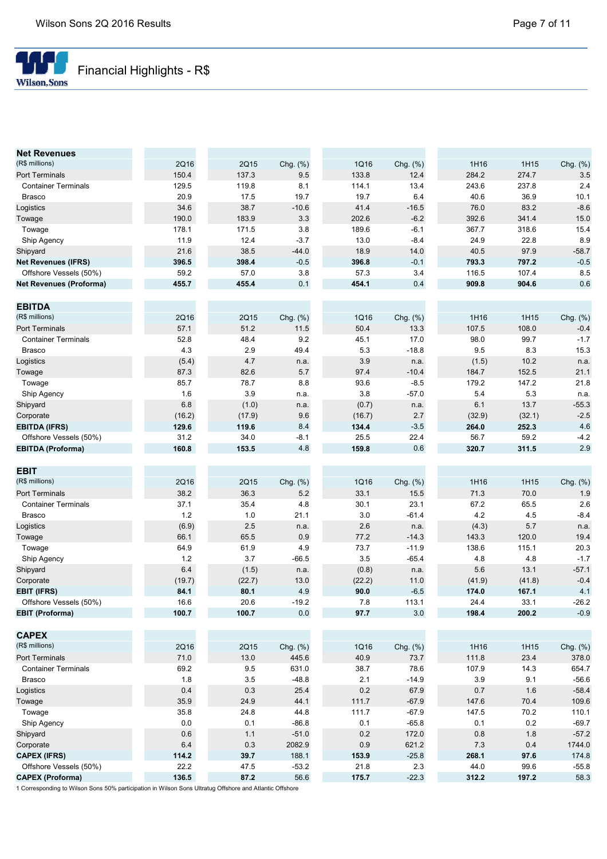

| <b>Net Revenues</b>            |        |             |              |        |          |        |             |                  |
|--------------------------------|--------|-------------|--------------|--------|----------|--------|-------------|------------------|
| (R\$ millions)                 | 2Q16   | 2Q15        | Chg. $(\%)$  | 1Q16   | Chg. (%) | 1H16   | 1H15        | Chg. (%)         |
| Port Terminals                 | 150.4  | 137.3       | 9.5          | 133.8  | 12.4     | 284.2  | 274.7       | 3.5              |
| <b>Container Terminals</b>     | 129.5  | 119.8       | 8.1          | 114.1  | 13.4     | 243.6  | 237.8       | 2.4              |
| <b>Brasco</b>                  | 20.9   | 17.5        | 19.7         | 19.7   | 6.4      | 40.6   | 36.9        | 10.1             |
| Logistics                      | 34.6   | 38.7        | $-10.6$      | 41.4   | $-16.5$  | 76.0   | 83.2        | $-8.6$           |
| Towage                         | 190.0  | 183.9       | 3.3          | 202.6  | $-6.2$   | 392.6  | 341.4       | 15.0             |
| Towage                         | 178.1  | 171.5       | 3.8          | 189.6  | $-6.1$   | 367.7  | 318.6       | 15.4             |
| Ship Agency                    | 11.9   | 12.4        | $-3.7$       | 13.0   | $-8.4$   | 24.9   | 22.8        | 8.9              |
| Shipyard                       | 21.6   | 38.5        | $-44.0$      | 18.9   | 14.0     | 40.5   | 97.9        | $-58.7$          |
| <b>Net Revenues (IFRS)</b>     | 396.5  | 398.4       | $-0.5$       | 396.8  | $-0.1$   | 793.3  | 797.2       | $-0.5$           |
| Offshore Vessels (50%)         | 59.2   | 57.0        | 3.8          | 57.3   | 3.4      | 116.5  | 107.4       | 8.5              |
| <b>Net Revenues (Proforma)</b> | 455.7  | 455.4       | 0.1          | 454.1  | 0.4      | 909.8  | 904.6       | 0.6              |
|                                |        |             |              |        |          |        |             |                  |
| <b>EBITDA</b>                  |        |             |              |        |          |        |             |                  |
| (R\$ millions)                 | 2Q16   | 2Q15        | Chg. (%)     | 1Q16   | Chg. (%) | 1H16   | 1H15        | Chg. (%)         |
| Port Terminals                 | 57.1   | 51.2        | 11.5         | 50.4   | 13.3     | 107.5  | 108.0       | $-0.4$           |
| <b>Container Terminals</b>     | 52.8   | 48.4        | 9.2          | 45.1   | 17.0     | 98.0   | 99.7        | $-1.7$           |
| <b>Brasco</b>                  | 4.3    | 2.9         | 49.4         | 5.3    | $-18.8$  | 9.5    | 8.3         | 15.3             |
| Logistics                      | (5.4)  | 4.7         | n.a.         | 3.9    | n.a.     | (1.5)  | 10.2        | n.a.             |
| Towage                         | 87.3   | 82.6        | 5.7          | 97.4   | $-10.4$  | 184.7  | 152.5       | 21.1             |
| Towage                         | 85.7   | 78.7        | 8.8          | 93.6   | $-8.5$   | 179.2  | 147.2       | 21.8             |
| Ship Agency                    | 1.6    | 3.9         | n.a.         | 3.8    | $-57.0$  | 5.4    | 5.3         | n.a.             |
| Shipyard                       | 6.8    | (1.0)       | n.a.         | (0.7)  | n.a.     | 6.1    | 13.7        | $-55.3$          |
| Corporate                      | (16.2) | (17.9)      | 9.6          | (16.7) | 2.7      | (32.9) | (32.1)      | $-2.5$           |
| <b>EBITDA (IFRS)</b>           | 129.6  | 119.6       | 8.4          | 134.4  | $-3.5$   | 264.0  | 252.3       | 4.6              |
| Offshore Vessels (50%)         | 31.2   | 34.0        | -8.1         | 25.5   | 22.4     | 56.7   | 59.2        | $-4.2$           |
| <b>EBITDA (Proforma)</b>       | 160.8  | 153.5       | 4.8          | 159.8  | 0.6      | 320.7  | 311.5       | 2.9              |
|                                |        |             |              |        |          |        |             |                  |
| <b>EBIT</b>                    |        |             |              |        |          |        |             |                  |
| (R\$ millions)                 | 2Q16   | 2Q15        | Chg. (%)     | 1Q16   | Chg. (%) | 1H16   | 1H15        | Chg. (%)         |
| Port Terminals                 | 38.2   | 36.3        | 5.2          | 33.1   | 15.5     | 71.3   | 70.0        | 1.9              |
| <b>Container Terminals</b>     | 37.1   | 35.4        | 4.8          | 30.1   | 23.1     | 67.2   | 65.5        | 2.6              |
| <b>Brasco</b>                  | 1.2    | 1.0         | 21.1         | 3.0    | $-61.4$  | 4.2    | 4.5         | $-8.4$           |
| Logistics                      | (6.9)  | 2.5         | n.a.         | 2.6    | n.a.     | (4.3)  | 5.7         | n.a.             |
| Towage                         | 66.1   | 65.5        | 0.9          | 77.2   | $-14.3$  | 143.3  | 120.0       | 19.4             |
| Towage                         | 64.9   | 61.9        | 4.9          | 73.7   | $-11.9$  | 138.6  | 115.1       | 20.3             |
| Ship Agency                    | 1.2    | 3.7         | $-66.5$      | 3.5    | $-65.4$  | 4.8    | 4.8         | $-1.7$           |
| Shipyard                       | 6.4    | (1.5)       | n.a.         | (0.8)  | n.a.     | 5.6    | 13.1        | $-57.1$          |
| Corporate                      | (19.7) | (22.7)      | 13.0         | (22.2) | 11.0     | (41.9) | (41.8)      | $-0.4$           |
| <b>EBIT (IFRS)</b>             | 84.1   | 80.1        | 4.9          | 90.0   | $-6.5$   | 174.0  | 167.1       | 4.1              |
| Offshore Vessels (50%)         | 16.6   | 20.6        | $-19.2$      | 7.8    | 113.1    | 24.4   | 33.1        | $-26.2$          |
| <b>EBIT (Proforma)</b>         | 100.7  | 100.7       | 0.0          | 97.7   | 3.0      | 198.4  | 200.2       | $-0.9$           |
|                                |        |             |              |        |          |        |             |                  |
| <b>CAPEX</b>                   |        |             |              |        |          |        |             |                  |
| (R\$ millions)                 | 2Q16   | 2Q15        | Chg. (%)     | 1Q16   | Chg. (%) | 1H16   | 1H15        | Chg. (%)         |
| Port Terminals                 | 71.0   | 13.0        | 445.6        | 40.9   | 73.7     | 111.8  | 23.4        | 378.0            |
| <b>Container Terminals</b>     | 69.2   | 9.5         | 631.0        | 38.7   | 78.6     | 107.9  | 14.3        | 654.7            |
| <b>Brasco</b>                  | 1.8    | 3.5         | $-48.8$      | 2.1    | $-14.9$  | 3.9    | 9.1         | $-56.6$          |
|                                | 0.4    |             |              | 0.2    | 67.9     | 0.7    |             |                  |
| Logistics                      | 35.9   | 0.3<br>24.9 | 25.4<br>44.1 | 111.7  | $-67.9$  | 147.6  | 1.6<br>70.4 | $-58.4$<br>109.6 |
| Towage                         | 35.8   | 24.8        | 44.8         |        | $-67.9$  | 147.5  |             |                  |
| Towage                         |        |             |              | 111.7  |          |        | 70.2        | 110.1            |
| Ship Agency                    | 0.0    | 0.1         | $-86.8$      | 0.1    | $-65.8$  | 0.1    | 0.2         | $-69.7$          |
| Shipyard                       | 0.6    | 1.1         | $-51.0$      | 0.2    | 172.0    | 0.8    | 1.8         | $-57.2$          |
| Corporate                      | 6.4    | 0.3         | 2082.9       | 0.9    | 621.2    | 7.3    | 0.4         | 1744.0           |
| <b>CAPEX (IFRS)</b>            | 114.2  | 39.7        | 188.1        | 153.9  | $-25.8$  | 268.1  | 97.6        | 174.8            |
| Offshore Vessels (50%)         | 22.2   | 47.5        | $-53.2$      | 21.8   | 2.3      | 44.0   | 99.6        | $-55.8$          |
| <b>CAPEX (Proforma)</b>        | 136.5  | 87.2        | 56.6         | 175.7  | $-22.3$  | 312.2  | 197.2       | 58.3             |

1 Corresponding to Wilson Sons 50% participation in Wilson Sons Ultratug Offshore and Atlantic Offshore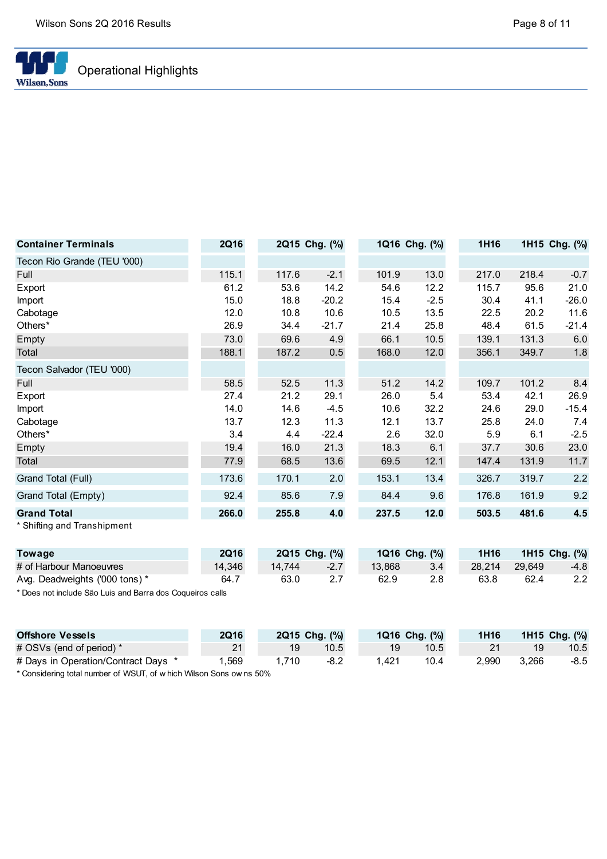

| <b>Container Terminals</b>  | <b>2Q16</b> |       | 2Q15 Chg. (%) |       | 1Q16 Chg. (%) | 1H16  |       | 1H15 Chg. (%) |
|-----------------------------|-------------|-------|---------------|-------|---------------|-------|-------|---------------|
| Tecon Rio Grande (TEU '000) |             |       |               |       |               |       |       |               |
| Full                        | 115.1       | 117.6 | $-2.1$        | 101.9 | 13.0          | 217.0 | 218.4 | $-0.7$        |
| Export                      | 61.2        | 53.6  | 14.2          | 54.6  | 12.2          | 115.7 | 95.6  | 21.0          |
| Import                      | 15.0        | 18.8  | $-20.2$       | 15.4  | $-2.5$        | 30.4  | 41.1  | $-26.0$       |
| Cabotage                    | 12.0        | 10.8  | 10.6          | 10.5  | 13.5          | 22.5  | 20.2  | 11.6          |
| Others*                     | 26.9        | 34.4  | $-21.7$       | 21.4  | 25.8          | 48.4  | 61.5  | $-21.4$       |
| Empty                       | 73.0        | 69.6  | 4.9           | 66.1  | 10.5          | 139.1 | 131.3 | 6.0           |
| Total                       | 188.1       | 187.2 | 0.5           | 168.0 | 12.0          | 356.1 | 349.7 | 1.8           |
| Tecon Salvador (TEU '000)   |             |       |               |       |               |       |       |               |
| Full                        | 58.5        | 52.5  | 11.3          | 51.2  | 14.2          | 109.7 | 101.2 | 8.4           |
| Export                      | 27.4        | 21.2  | 29.1          | 26.0  | 5.4           | 53.4  | 42.1  | 26.9          |
| Import                      | 14.0        | 14.6  | $-4.5$        | 10.6  | 32.2          | 24.6  | 29.0  | $-15.4$       |
| Cabotage                    | 13.7        | 12.3  | 11.3          | 12.1  | 13.7          | 25.8  | 24.0  | 7.4           |
| Others*                     | 3.4         | 4.4   | $-22.4$       | 2.6   | 32.0          | 5.9   | 6.1   | $-2.5$        |
| Empty                       | 19.4        | 16.0  | 21.3          | 18.3  | 6.1           | 37.7  | 30.6  | 23.0          |
| Total                       | 77.9        | 68.5  | 13.6          | 69.5  | 12.1          | 147.4 | 131.9 | 11.7          |
| Grand Total (Full)          | 173.6       | 170.1 | 2.0           | 153.1 | 13.4          | 326.7 | 319.7 | 2.2           |
| Grand Total (Empty)         | 92.4        | 85.6  | 7.9           | 84.4  | 9.6           | 176.8 | 161.9 | 9.2           |
| <b>Grand Total</b>          | 266.0       | 255.8 | 4.0           | 237.5 | 12.0          | 503.5 | 481.6 | 4.5           |
| * Shifting and Transhipment |             |       |               |       |               |       |       |               |

| Towage                         | <b>2Q16</b> |        | 2Q15 Chg. (%) | 1Q16 Chg. (%) | <b>1H16</b> |        | 1H15 Chg. (%) |
|--------------------------------|-------------|--------|---------------|---------------|-------------|--------|---------------|
| # of Harbour Manoeuvres        | 14.346      | 14.744 | $-2.7$        | 13.868        | 28.214      | 29.649 | $-4.8$        |
| Avg. Deadweights ('000 tons) * | 64.7        | 63.0   |               | 62.9          | 63.8        | 62.4   | 2.2           |

\* Does not include São Luis and Barra dos Coqueiros calls

| <b>Offshore Vessels</b>                                            | <b>2Q16</b> |      | 2Q15 Chg. (%) | 1Q16 Chg. (%) |      | 1H <sub>16</sub> |       | 1H15 Chg. (%) |
|--------------------------------------------------------------------|-------------|------|---------------|---------------|------|------------------|-------|---------------|
| # OSVs (end of period) *                                           | 21          |      | 10.5          | 19            | 10.5 | 21               |       | 10.5          |
| # Days in Operation/Contract Days *                                | .569        | .710 | $-8.2$        | 1.421         | 10.4 | 2.990            | 3.266 | $-8.5$        |
| * Considering total number of MICLIT of which Wilson Cope owns 50% |             |      |               |               |      |                  |       |               |

Considering total number of WSUT, of w hich Wilson Sons ow ns 50%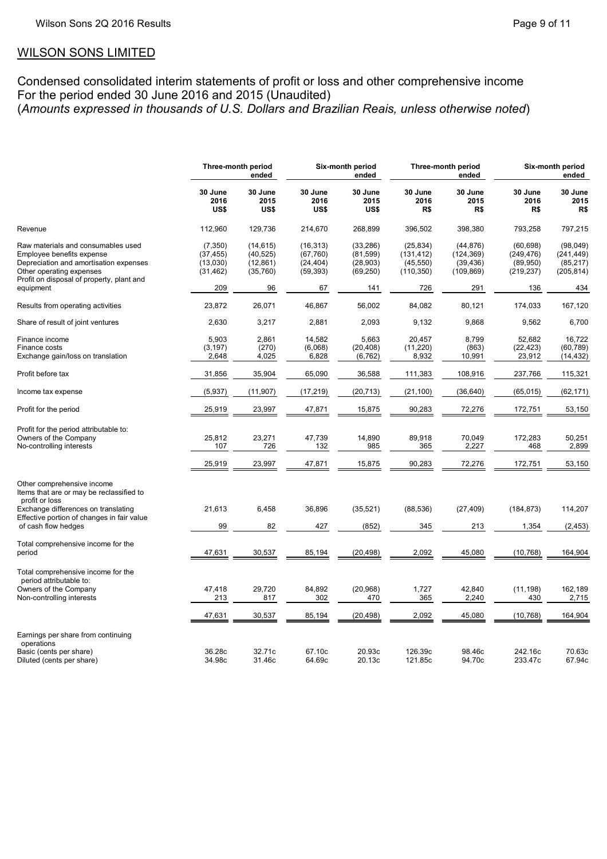# WILSON SONS LIMITED

Condensed consolidated interim statements of profit or loss and other comprehensive income For the period ended 30 June 2016 and 2015 (Unaudited) (Amounts expressed in thousands of U.S. Dollars and Brazilian Reais, unless otherwise noted)

|                                                                                                                                                                                    | Three-month period<br>ended                    |                                                  | Six-month period<br>ended                        |                                                 |                                                    | Three-month period<br>ended                        | Six-month period<br>ended                          |                                                   |  |
|------------------------------------------------------------------------------------------------------------------------------------------------------------------------------------|------------------------------------------------|--------------------------------------------------|--------------------------------------------------|-------------------------------------------------|----------------------------------------------------|----------------------------------------------------|----------------------------------------------------|---------------------------------------------------|--|
|                                                                                                                                                                                    | 30 June<br>2016<br>US\$                        | 30 June<br>2015<br>US\$                          | 30 June<br>2016<br>US\$                          | 30 June<br>2015<br>US\$                         | 30 June<br>2016<br>R\$                             | 30 June<br>2015<br>R\$                             | 30 June<br>2016<br>R\$                             | 30 June<br>2015<br>R\$                            |  |
| Revenue                                                                                                                                                                            | 112,960                                        | 129,736                                          | 214,670                                          | 268,899                                         | 396,502                                            | 398,380                                            | 793,258                                            | 797,215                                           |  |
| Raw materials and consumables used<br>Employee benefits expense<br>Depreciation and amortisation expenses<br>Other operating expenses<br>Profit on disposal of property, plant and | (7, 350)<br>(37, 455)<br>(13,030)<br>(31, 462) | (14, 615)<br>(40, 525)<br>(12, 861)<br>(35, 760) | (16, 313)<br>(67, 760)<br>(24, 404)<br>(59, 393) | (33, 286)<br>(81,599)<br>(28, 903)<br>(69, 250) | (25, 834)<br>(131, 412)<br>(45, 550)<br>(110, 350) | (44, 876)<br>(124, 369)<br>(39, 436)<br>(109, 869) | (60, 698)<br>(249, 476)<br>(89, 950)<br>(219, 237) | (98,049)<br>(241, 449)<br>(85, 217)<br>(205, 814) |  |
| equipment                                                                                                                                                                          | 209                                            | 96                                               | 67                                               | 141                                             | 726                                                | 291                                                | 136                                                | 434                                               |  |
| Results from operating activities                                                                                                                                                  | 23,872                                         | 26,071                                           | 46,867                                           | 56,002                                          | 84,082                                             | 80,121                                             | 174,033                                            | 167,120                                           |  |
| Share of result of joint ventures                                                                                                                                                  | 2,630                                          | 3,217                                            | 2,881                                            | 2,093                                           | 9,132                                              | 9,868                                              | 9,562                                              | 6,700                                             |  |
| Finance income<br>Finance costs<br>Exchange gain/loss on translation                                                                                                               | 5,903<br>(3, 197)<br>2,648                     | 2,861<br>(270)<br>4,025                          | 14,582<br>(6,068)<br>6,828                       | 5,663<br>(20, 408)<br>(6, 762)                  | 20,457<br>(11,220)<br>8,932                        | 8,799<br>(863)<br>10,991                           | 52,682<br>(22, 423)<br>23,912                      | 16,722<br>(60, 789)<br>(14, 432)                  |  |
| Profit before tax                                                                                                                                                                  | 31,856                                         | 35,904                                           | 65,090                                           | 36,588                                          | 111,383                                            | 108,916                                            | 237,766                                            | 115,321                                           |  |
| Income tax expense                                                                                                                                                                 | (5,937)                                        | (11, 907)                                        | (17, 219)                                        | (20, 713)                                       | (21, 100)                                          | (36, 640)                                          | (65, 015)                                          | (62, 171)                                         |  |
| Profit for the period                                                                                                                                                              | 25,919                                         | 23,997                                           | 47,871                                           | 15,875                                          | 90,283                                             | 72,276                                             | 172,751                                            | 53,150                                            |  |
| Profit for the period attributable to:<br>Owners of the Company<br>No-controlling interests                                                                                        | 25,812<br>107                                  | 23,271<br>726                                    | 47,739<br>132                                    | 14,890<br>985                                   | 89,918<br>365                                      | 70,049<br>2,227                                    | 172,283<br>468                                     | 50,251<br>2,899                                   |  |
|                                                                                                                                                                                    | 25,919                                         | 23,997                                           | 47,871                                           | 15,875                                          | 90,283                                             | 72,276                                             | 172,751                                            | 53,150                                            |  |
| Other comprehensive income<br>Items that are or may be reclassified to<br>profit or loss                                                                                           |                                                |                                                  |                                                  |                                                 |                                                    |                                                    |                                                    |                                                   |  |
| Exchange differences on translating<br>Effective portion of changes in fair value                                                                                                  | 21,613                                         | 6,458                                            | 36,896                                           | (35, 521)                                       | (88, 536)                                          | (27, 409)                                          | (184, 873)                                         | 114,207                                           |  |
| of cash flow hedges                                                                                                                                                                | 99                                             | 82                                               | 427                                              | (852)                                           | 345                                                | 213                                                | 1,354                                              | (2, 453)                                          |  |
| Total comprehensive income for the<br>period                                                                                                                                       | 47,631                                         | 30,537                                           | 85,194                                           | (20, 498)                                       | 2,092                                              | 45,080                                             | (10, 768)                                          | 164,904                                           |  |
| Total comprehensive income for the<br>period attributable to:                                                                                                                      |                                                |                                                  |                                                  |                                                 |                                                    |                                                    |                                                    |                                                   |  |
| Owners of the Company<br>Non-controlling interests                                                                                                                                 | 47,418<br>213                                  | 29,720<br>817                                    | 84,892<br>302                                    | (20, 968)<br>470                                | 1,727<br>365                                       | 42,840<br>2,240                                    | (11, 198)<br>430                                   | 162,189<br>2,715                                  |  |
|                                                                                                                                                                                    | 47,631                                         | 30,537                                           | 85,194                                           | (20, 498)                                       | 2,092                                              | 45,080                                             | (10, 768)                                          | 164,904                                           |  |
| Earnings per share from continuing<br>operations                                                                                                                                   |                                                |                                                  |                                                  |                                                 |                                                    |                                                    |                                                    |                                                   |  |
| Basic (cents per share)<br>Diluted (cents per share)                                                                                                                               | 36.28c<br>34.98c                               | 32.71c<br>31.46c                                 | 67.10c<br>64.69c                                 | 20.93c<br>20.13c                                | 126.39c<br>121.85c                                 | 98.46c<br>94.70c                                   | 242.16c<br>233.47c                                 | 70.63c<br>67.94c                                  |  |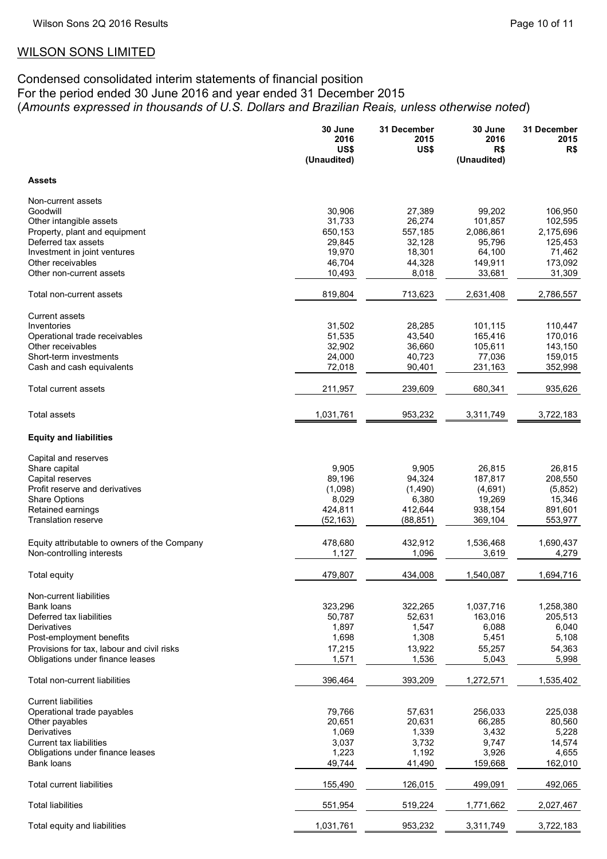# WILSON SONS LIMITED

# Condensed consolidated interim statements of financial position For the period ended 30 June 2016 and year ended 31 December 2015 (Amounts expressed in thousands of U.S. Dollars and Brazilian Reais, unless otherwise noted)

|                                               | 30 June<br>2016     | 31 December<br>2015 | 30 June<br>2016      | 31 December<br>2015  |
|-----------------------------------------------|---------------------|---------------------|----------------------|----------------------|
|                                               | US\$<br>(Unaudited) | US\$                | R\$<br>(Unaudited)   | R\$                  |
| <b>Assets</b>                                 |                     |                     |                      |                      |
| Non-current assets                            |                     |                     |                      |                      |
| Goodwill                                      | 30,906              | 27,389              | 99,202               | 106,950              |
| Other intangible assets                       | 31,733              | 26,274              | 101,857              | 102,595              |
| Property, plant and equipment                 | 650,153             | 557,185             | 2,086,861            | 2,175,696            |
| Deferred tax assets                           | 29,845              | 32,128              | 95,796               | 125,453              |
| Investment in joint ventures                  | 19,970              | 18,301              | 64,100               | 71,462               |
| Other receivables                             | 46,704              | 44,328              | 149,911              | 173,092              |
| Other non-current assets                      | 10,493              | 8,018               | 33,681               | 31,309               |
| Total non-current assets                      | 819,804             | 713,623             | 2,631,408            | 2,786,557            |
| <b>Current assets</b>                         |                     |                     |                      |                      |
| Inventories                                   | 31,502              | 28,285              | 101,115              | 110,447              |
| Operational trade receivables                 | 51,535              | 43,540              | 165,416              | 170,016              |
| Other receivables                             | 32,902              | 36,660              | 105,611              | 143,150              |
| Short-term investments                        | 24,000              | 40,723              | 77,036               | 159,015              |
| Cash and cash equivalents                     | 72,018              | 90,401              | 231,163              | 352,998              |
| Total current assets                          | 211,957             | 239,609             | 680,341              | 935,626              |
| Total assets                                  | 1,031,761           | 953,232             | 3,311,749            | 3,722,183            |
| <b>Equity and liabilities</b>                 |                     |                     |                      |                      |
| Capital and reserves                          |                     |                     |                      |                      |
| Share capital                                 | 9,905               | 9,905               | 26,815               | 26,815               |
| Capital reserves                              | 89,196              | 94,324              | 187,817              | 208,550              |
| Profit reserve and derivatives                | (1,098)             | (1,490)             | (4,691)              | (5,852)              |
| <b>Share Options</b>                          | 8,029               | 6,380               | 19,269               | 15,346               |
| Retained earnings                             | 424,811             | 412,644             | 938,154              | 891,601              |
| <b>Translation reserve</b>                    | (52, 163)           | (88, 851)           | 369,104              | 553,977              |
| Equity attributable to owners of the Company  | 478,680             | 432,912             | 1,536,468            | 1,690,437            |
| Non-controlling interests                     | 1,127               | 1,096               | 3,619                | 4,279                |
| Total equity                                  | 479,807             | 434,008             | 1,540,087            | 1,694,716            |
|                                               |                     |                     |                      |                      |
| Non-current liabilities                       |                     |                     |                      |                      |
| <b>Bank loans</b><br>Deferred tax liabilities | 323,296<br>50,787   | 322,265<br>52,631   | 1,037,716<br>163,016 | 1,258,380<br>205,513 |
| Derivatives                                   | 1,897               | 1,547               | 6,088                | 6,040                |
| Post-employment benefits                      | 1,698               | 1,308               | 5,451                | 5,108                |
| Provisions for tax, labour and civil risks    | 17,215              | 13,922              | 55,257               | 54,363               |
| Obligations under finance leases              | 1,571               | 1,536               | 5,043                | 5,998                |
| Total non-current liabilities                 | 396,464             | 393,209             | 1,272,571            | 1,535,402            |
| <b>Current liabilities</b>                    |                     |                     |                      |                      |
| Operational trade payables                    | 79,766              | 57,631              | 256,033              | 225,038              |
| Other payables                                | 20,651              | 20,631              | 66,285               | 80,560               |
| Derivatives                                   | 1,069               | 1,339               | 3,432                | 5,228                |
| Current tax liabilities                       | 3,037               | 3,732               | 9,747                | 14,574               |
| Obligations under finance leases              | 1,223               | 1,192               | 3,926                | 4,655                |
| Bank loans                                    | 49,744              | 41,490              | 159,668              | 162,010              |
| Total current liabilities                     | 155,490             | 126,015             | 499,091              | 492,065              |
| <b>Total liabilities</b>                      | 551,954             | 519,224             | 1,771,662            | 2,027,467            |
| Total equity and liabilities                  | 1,031,761           | 953,232             | 3,311,749            | 3,722,183            |